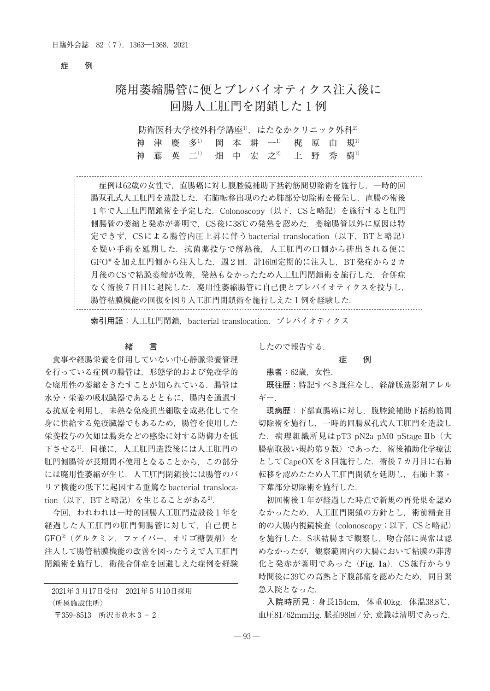症 例

# 廃用萎縮腸管に便とプレバイオティクス注入後に 回腸人工肛門を閉鎖した 1 例

| 防衛医科大学校外科学講座1), はたなかクリニック外科2) |  |  |  |  |  |  |                                                                   |  |  |  |
|-------------------------------|--|--|--|--|--|--|-------------------------------------------------------------------|--|--|--|
|                               |  |  |  |  |  |  | 神津慶多1) 岡本耕一1) 梶原由規1)                                              |  |  |  |
|                               |  |  |  |  |  |  | 神 藤 英 二 <sup>1)</sup> 畑 中 宏 之 <sup>2)</sup> 上 野 秀 樹 <sup>1)</sup> |  |  |  |

 症例は62歳の女性で,直腸癌に対し腹腔鏡補助下括約筋間切除術を施行し,一時的回 腸双孔式人工肛門を造設した.右肺転移出現のため肺部分切除術を優先し,直腸の術後 1 年で人工肛門閉鎖術を予定した.Colonoscopy(以下,CSと略記)を施行すると肛門 側腸管の萎縮と発赤が著明で,CS後に38℃の発熱を認めた.萎縮腸管以外に原因は特 定できず,CSによる腸管内圧上昇に伴うbacterial translocation(以下,BTと略記) を疑い手術を延期した.抗菌薬投与で解熱後,人工肛門の口側から排出される便に GFO®を加え肛門側から注入した. 週2回, 計16回定期的に注入し, BT発症から2カ 月後のCSで粘膜萎縮が改善,発熱もなかったため人工肛門閉鎖術を施行した. 合併症 なく術後 7 日目に退院した.廃用性萎縮腸管に自己便とプレバイオティクスを投与し, 腸管粘膜機能の回復を図り人工肛門閉鎖術を施行しえた 1 例を経験した.

索引用語: 人工肛門閉鎖, bacterial translocation, プレバイオティクス

### 緒 言

 食事や経腸栄養を併用していない中心静脈栄養管理 を行っている症例の腸管は,形態学的および免疫学的 な廃用性の萎縮をきたすことが知られている.腸管は 水分・栄養の吸収臓器であるとともに,腸内を通過す る抗原を利用し,未熟な免疫担当細胞を成熟化して全 身に供給する免疫臓器でもあるため,腸管を使用した 栄養投与の欠如は腸炎などの感染に対する防御力を低 下させる1).同様に,人工肛門造設後には人工肛門の 肛門側腸管が長期間不使用となることから,この部分 には廃用性萎縮が生じ,人工肛門閉鎖後には腸管のバ リア機能の低下に起因する重篤なbacterial translocation (以下, BTと略記) を生じることがある<sup>2)</sup>.

 今回,われわれは一時的回腸人工肛門造設後 1 年を 経過した人工肛門の肛門側腸管に対して,自己便と GFO®(グルタミン,ファイバー,オリゴ糖製剤)を 注入して腸管粘膜機能の改善を図ったうえで人工肛門 閉鎖術を施行し,術後合併症を回避しえた症例を経験

 2021年 3 月17日受付 2021年 5 月10日採用 〈所属施設住所〉 〒359-8513 所沢市並木 3 - 2

したので報告する.

# 症 例

患者:62歳,女性.

既往歴:特記すべき既往なし,経静脈造影剤アレル ギー.

現病歴:下部直腸癌に対し,腹腔鏡補助下括約筋間 切除術を施行し,一時的回腸双孔式人工肛門を造設し た.病理組織所見はpT3 pN2a pM0 pStageⅢb(大 腸癌取扱い規約第9版)であった. 術後補助化学療法 としてCapeOXを8回施行した. 術後7カ月目に右肺 転移を認めたため人工肛門閉鎖を延期し,右肺上葉・ 下葉部分切除術を施行した.

 初回術後 1 年が経過した時点で新規の再発巣を認め なかったため,人工肛門閉鎖の方針とし,術前精査目 的の大腸内視鏡検査(colonoscopy;以下,CSと略記) を施行した. S状結腸まで観察し, 吻合部に異常は認 めなかったが,観察範囲内の大腸において粘膜の菲薄 化と発赤が著明であった(**Fig. 1a**).CS施行から 9 時間後に39℃の高熱と下腹部痛を認めたため、同日緊 急入院となった.

入院時所見:身長154cm,体重40kg.体温38.8℃, 血圧81/62mmHg,脈拍98回/分,意識は清明であった.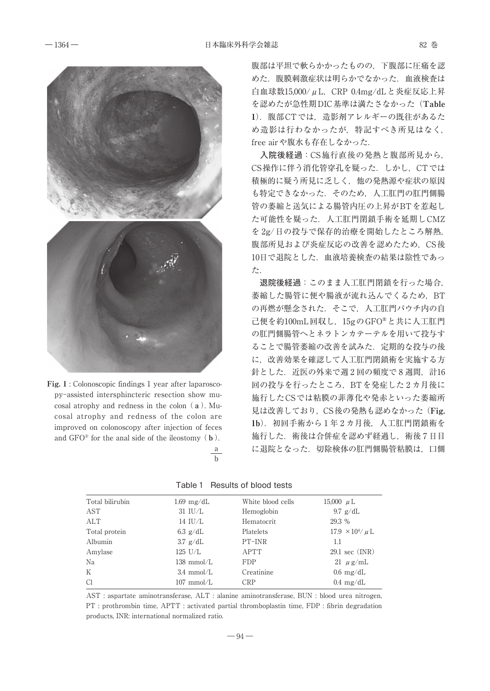

**Fig. 1** : Colonoscopic findings 1 year after laparoscopy-assisted intersphincteric resection show mucosal atrophy and redness in the colon(**a**). Mucosal atrophy and redness of the colon are improved on colonoscopy after injection of feces and GFO® for the anal side of the ileostomy(**b**).

腹部は平坦で軟らかかったものの,下腹部に圧痛を認 めた.腹膜刺激症状は明らかでなかった.血液検査は 白血球数15,000/μL,CRP 0.4mg/dLと炎症反応上昇 を認めたが急性期DIC基準は満たさなかった(**Table 1**).腹部CTでは,造影剤アレルギーの既往があるた め造影は行わなかったが,特記すべき所見はなく, free airや腹水も存在しなかった.

入院後経過:CS施行直後の発熱と腹部所見から, CS操作に伴う消化管穿孔を疑った.しかし,CTでは 積極的に疑う所見に乏しく,他の発熱源や症状の原因 も特定できなかった.そのため,人工肛門の肛門側腸 管の萎縮と送気による腸管内圧の上昇がBTを惹起し た可能性を疑った.人工肛門閉鎖手術を延期しCMZ を 2g/日の投与で保存的治療を開始したところ解熱, 腹部所見および炎症反応の改善を認めたため、CS後 10日で退院とした.血液培養検査の結果は陰性であっ た.

退院後経過:このまま人工肛門閉鎖を行った場合, 萎縮した腸管に便や腸液が流れ込んでくるため, BT の再燃が懸念された.そこで,人工肛門パウチ内の自 己便を約100mL回収し,15gのGFO®と共に人工肛門 の肛門側腸管へとネラトンカテーテルを用いて投与す ることで腸管萎縮の改善を試みた. 定期的な投与の後 に,改善効果を確認して人工肛門閉鎖術を実施する方 針とした. 近医の外来で週2回の頻度で8週間, 計16 回の投与を行ったところ,BTを発症した 2 カ月後に 施行したCSでは粘膜の菲薄化や発赤といった萎縮所 見は改善しており,CS後の発熱も認めなかった(**Fig. 1b**).初回手術から 1 年 2 カ月後,人工肛門閉鎖術を 施行した.術後は合併症を認めず経過し,術後 7 日目 に退院となった.切除検体の肛門側腸管粘膜は,口側

| Total bilirubin | $1.69 \text{ mg/dL}$ | White blood cells | $15,000 \mu L$              |
|-----------------|----------------------|-------------------|-----------------------------|
| AST             | $31$ IU/L            | Hemoglobin        | $9.7 \text{ g/dL}$          |
| ALT             | 14 IU/L              | Hematocrit        | 29.3 %                      |
| Total protein   | $6.3$ g/dL           | Platelets         | $17.9 \times 10^{4}/ \mu L$ |
| Albumin         | $3.7 \text{ g/dL}$   | PT-INR            | 1.1                         |
| Amylase         | $125$ U/L            | <b>APTT</b>       | $29.1 \text{ sec}$ (INR)    |
| Na              | $138 \text{ mmol/L}$ | <b>FDP</b>        | 21 $\mu$ g/mL               |
| K               | $3.4 \text{ mmol/L}$ | Creatinine        | $0.6 \text{ mg/dL}$         |
| <sup>C1</sup>   | $107 \text{ mmol/L}$ | <b>CRP</b>        | $0.4 \text{ mg/dL}$         |
|                 |                      |                   |                             |

Table 1 Results of blood tests

a  $\overline{h}$ 

AST : aspartate aminotransferase, ALT : alanine aminotransferase, BUN : blood urea nitrogen, PT : prothrombin time, APTT : activated partial thromboplastin time, FDP : fibrin degradation products, INR: international normalized ratio.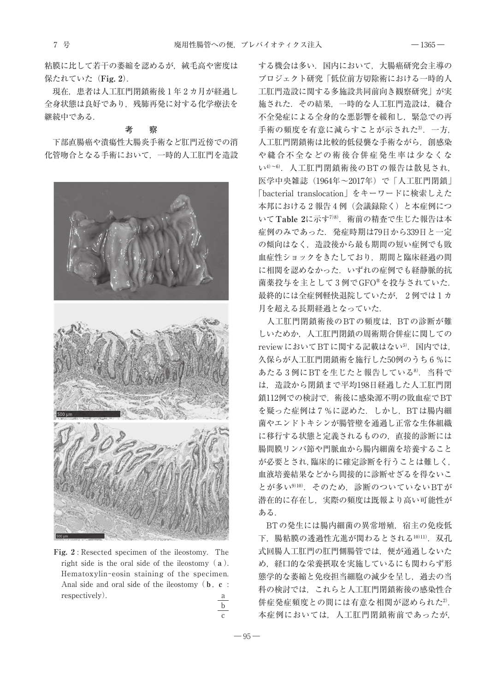粘膜に比して若干の萎縮を認めるが、 絨毛高や密度は 保たれていた(**Fig. 2**).

 現在,患者は人工肛門閉鎖術後 1 年 2 カ月が経過し 全身状態は良好であり,残肺再発に対する化学療法を 継続中である.

#### 考 察

 下部直腸癌や潰瘍性大腸炎手術など肛門近傍での消 化管吻合となる手術において,一時的人工肛門を造設



Fig. 2: Resected specimen of the ileostomy. The right side is the oral side of the ileostomy  $(a)$ . Hematoxylin-eosin staining of the specimen. Analsideandoralsideoftheileostomy(**b**, **c**: respectively). b

する機会は多い.国内において,大腸癌研究会主導の プロジェクト研究「低位前方切除術における一時的人 工肛門造設に関する多施設共同前向き観察研究」が実 施された.その結果,一時的な人工肛門造設は,縫合 不全発症による全身的な悪影響を緩和し,緊急での再 手術の頻度を有意に減らすことが示された3). 一方, 人工肛門閉鎖術は比較的低侵襲な手術ながら,創感染 や縫合不全などの術後合併症発生率は少なくな い4)~6).人工肛門閉鎖術後のBTの報告は散見され, 医学中央雑誌(1964年~2017年)で「人工肛門閉鎖」 「bacterial translocation」をキーワードに検索しえた 本邦における2報告4例(会議録除く)と本症例につ いて**Table 2**に示す7)8).術前の精査で生じた報告は本 症例のみであった.発症時期は79日から339日と一定 の傾向はなく,造設後から最も期間の短い症例でも敗 血症性ショックをきたしており,期間と臨床経過の間 に相関を認めなかった.いずれの症例でも経静脈的抗 菌薬投与を主として 3 例でGFO®を投与されていた. 最終的には全症例軽快退院していたが, 2 例では 1 カ 月を超える長期経過となっていた.

 人工肛門閉鎖術後のBTの頻度は,BTの診断が難 しいためか,人工肛門閉鎖の周術期合併症に関しての reviewにおいてBTに関する記載はない5). 国内では, 久保らが人工肛門閉鎖術を施行した50例のうち6%に あたる 3 例にBTを生じたと報告している8).当科で は,造設から閉鎖まで平均198日経過した人工肛門閉 鎖112例での検討で、術後に感染源不明の敗血症でBT を疑った症例は7%に認めた. しかし、BTは腸内細 菌やエンドトキシンが腸管壁を通過し正常な生体組織 に移行する状態と定義されるものの,直接的診断には 腸間膜リンパ節や門脈血から腸内細菌を培養すること が必要とされ,臨床的に確定診断を行うことは難しく, 血液培養結果などから間接的に診断せざるを得ないこ とが多い<sup>9)10)</sup>. そのため. 診断のついていないBTが 潜在的に存在し,実際の頻度は既報より高い可能性が ある.

 BTの発生には腸内細菌の異常増殖,宿主の免疫低 下, 腸粘膜の透過性亢進が関わるとされる1011). 双孔 式回腸人工肛門の肛門側腸管では,便が通過しないた め,経口的な栄養摂取を実施しているにも関わらず形 態学的な萎縮と免疫担当細胞の減少を呈し,過去の当 科の検討では,これらと人工肛門閉鎖術後の感染性合 併症発症頻度との間には有意な相関が認められた2). 本症例においては,人工肛門閉鎖術前であったが,

 $\rm c$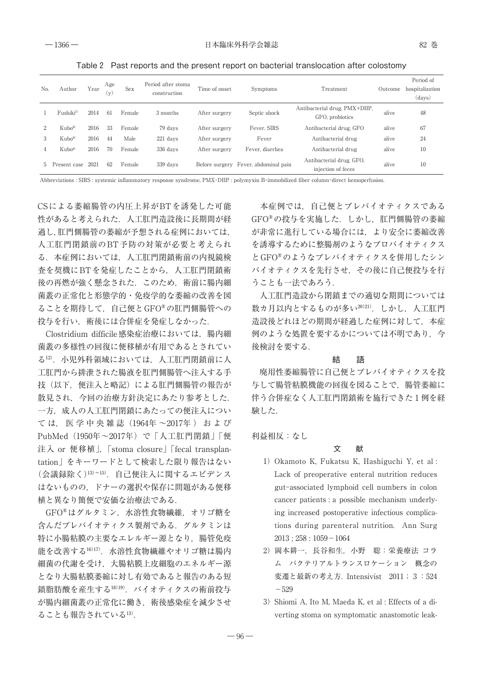Table 2 Past reports and the present report on bacterial translocation after colostomy

| No. | Author                | Year | Age<br>(y) | Sex    | Period after stoma<br>construction | Time of onset  | Symptoms              | Treatment                                       | Outcome | Period of<br>hospitalization<br>(days) |
|-----|-----------------------|------|------------|--------|------------------------------------|----------------|-----------------------|-------------------------------------------------|---------|----------------------------------------|
|     | Fushiki <sup>7)</sup> | 2014 | 61         | Female | 3 months                           | After surgery  | Septic shock          | Antibacterial drug, PMX+DHP,<br>GFO, probiotics | alive   | 48                                     |
| 2   | Kubo <sup>8</sup>     | 2016 | 33         | Female | 79 days                            | After surgery  | Fever, SIRS           | Antibacterial drug, GFO                         | alive   | 67                                     |
| 3   | Kubo <sup>8</sup>     | 2016 | 44         | Male   | 221 days                           | After surgery  | Fever                 | Antibacterial drug                              | alive   | 24                                     |
| 4   | Kubo <sup>8</sup>     | 2016 | 70         | Female | 336 days                           | After surgery  | Fever, diarrhea       | Antibacterial drug                              | alive   | 10                                     |
| 5.  | Present case          | 2021 | 62         | Female | 339 days                           | Before surgery | Fever, abdominal pain | Antibacterial drug. GFO.<br>injection of feces  | alive   | 10                                     |

Abbreviations : SIRS : systemic inflammatory response syndrome, PMX-DHP : polymyxin B-immobilized fiber column-direct hemoperfusion.

CSによる萎縮腸管の内圧上昇がBTを誘発した可能 性があると考えられた.人工肛門造設後に長期間が経 過し,肛門側腸管の萎縮が予想される症例においては, 人工肛門閉鎖前のBT予防の対策が必要と考えられ る.本症例においては,人工肛門閉鎖術前の内視鏡検 査を契機にBTを発症したことから,人工肛門閉鎖術 後の再燃が強く懸念された.このため,術前に腸内細 菌叢の正常化と形態学的・免疫学的な萎縮の改善を図 ることを期待して,自己便とGFO®の肛門側腸管への 投与を行い、術後には合併症を発症しなかった.

 Clostridium difficile感染症治療においては,腸内細 菌叢の多様性の回復に便移植が有用であるとされてい る12). 小児外科領域においては、人工肛門閉鎖前に人 工肛門から排泄された腸液を肛門側腸管へ注入する手 技(以下,便注入と略記)による肛門側腸管の報告が 散見され,今回の治療方針決定にあたり参考とした. 一方,成人の人工肛門閉鎖にあたっての便注入につい て は, 医 学 中 央 雑 誌(1964年 ~2017年 ) お よ び PubMed (1950年~2017年)で「人工肛門閉鎖」「便 注入 or 便移植」,「stoma closure」「fecal transplantation」をキーワードとして検索した限り報告はない (会議録除く)13)~15).自己便注入に関するエビデンス はないものの,ドナーの選択や保存に問題がある便移 植と異なり簡便で安価な治療法である.

 GFO®はグルタミン,水溶性食物繊維,オリゴ糖を 含んだプレバイオティクス製剤である. グルタミンは 特に小腸粘膜の主要なエレルギー源となり,腸管免疫 能を改善する16)17). 水溶性食物繊維やオリゴ糖は腸内 細菌の代謝を受け,大腸粘膜上皮細胞のエネルギー源 となり大腸粘膜萎縮に対し有効であると報告のある短 鎖脂肪酸を産生する18199. バイオティクスの術前投与 が腸内細菌叢の正常化に働き,術後感染症を減少させ ることも報告されている13).

 本症例では,自己便とプレバイオティクスである GFO®の投与を実施した.しかし,肛門側腸管の萎縮 が非常に進行している場合には,より安全に萎縮改善 を誘導するために整腸剤のようなプロバイオティクス とGFO®のようなプレバイオティクスを併用したシン バイオティクスを先行させ,その後に自己便投与を行 うことも一法であろう.

 人工肛門造設から閉鎖までの適切な期間については 数カ月以内とするものが多い<sup>20)21)</sup>. しかし, 人工肛門 造設後どれほどの期間が経過した症例に対して,本症 例のような処置を要するかについては不明であり、今 後検討を要する.

#### 結 語

 廃用性萎縮腸管に自己便とプレバイオティクスを投 与して腸管粘膜機能の回復を図ることで,腸管萎縮に 伴う合併症なく人工肛門閉鎖術を施行できた 1 例を経 験した.

利益相反:なし

### 文 献

- 1) Okamoto K, Fukatsu K, Hashiguchi Y, et al : Lack of preoperative enteral nutrition reduces gut-associated lymphoid cell numbers in colon cancer patients : a possible mechanism underlying increased postoperative infectious complications during parenteral nutrition. Ann Surg 2013 ; 258 : 1059-1064
- 2) 岡本耕一, 長谷和生, 小野 聡:栄養療法 コラ ム バクテリアルトランスロケーション 概念の 変遷と最新の考え方.Intensivist 2011; 3 :524  $-529$
- 3) Shiomi A, Ito M, Maeda K, et al : Effects of a diverting stoma on symptomatic anastomotic leak-

 $-96 -$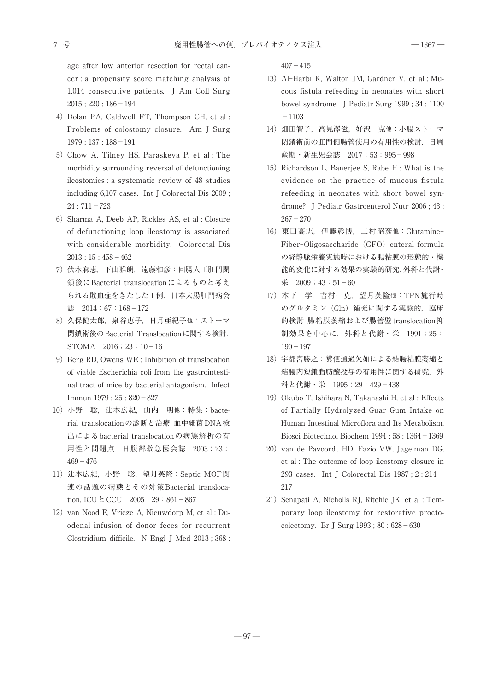age after low anterior resection for rectal cancer : a propensity score matching analysis of 1,014 consecutive patients. J Am Coll Surg  $2015 : 220 : 186 - 194$ 

- 4) Dolan PA, Caldwell FT, Thompson CH, et al : Problems of colostomy closure. Am J Surg 1979 ; 137 : 188-191
- 5) Chow A, Tilney HS, Paraskeva P, et al : The morbidity surrounding reversal of defunctioning ileostomies : a systematic review of 48 studies including 6,107 cases. Int J Colorectal Dis 2009 ; 24 : 711-723
- 6) Sharma A, Deeb AP, Rickles AS, et al : Closure of defunctioning loop ileostomy is associated with considerable morbidity. Colorectal Dis  $2013:15:458-462$
- 7) 伏木麻恵,下山雅朗,遠藤和彦:回腸人工肛門閉 鎖後にBacterial translocationによるものと考え られる敗血症をきたした 1 例.日本大腸肛門病会 誌 2014;67:168-172
- 8) 久保健太郎, 泉谷恵子, 日月亜紀子他: ストーマ 閉鎖術後のBacterial Translocationに関する検討. STOMA 2016;23:10-16
- 9) Berg RD, Owens WE : Inhibition of translocation of viable Escherichia coli from the gastrointestinal tract of mice by bacterial antagonism. Infect Immun 1979 ; 25 : 820-827
- 10) 小野 聡,辻本広紀,山内 明他:特集:bacterial translocationの診断と治療 血中細菌DNA検 出によるbacterial translocationの病態解析の有 用性と問題点.日腹部救急医会誌 2003;23:  $469 - 476$
- 11) 辻本広紀,小野 聡,望月英隆:Septic MOF関 連の話題の病態とその対策Bacterial translocation. ICUとCCU 2005;29:861-867
- 12) van Nood E, Vrieze A, Nieuwdorp M, et al : Duodenal infusion of donor feces for recurrent Clostridium difficile. N Engl J Med 2013 ; 368 :

 $407 - 415$ 

- 13) Al-Harbi K, Walton JM, Gardner V, et al : Mucous fistula refeeding in neonates with short bowel syndrome. J Pediatr Surg 1999 ; 34 : 1100  $-1103$
- 14) 畑田智子,高見澤滋,好沢 克他:小腸ストーマ 閉鎖術前の肛門側腸管使用の有用性の検討.日周 産期・新生児会誌 2017;53:995-998
- 15) Richardson L, Banerjee S, Rabe H : What is the evidence on the practice of mucous fistula refeeding in neonates with short bowel syndrome? J Pediatr Gastroenterol Nutr 2006 ; 43 :  $267 - 270$
- 16) 東口高志,伊藤彰博,二村昭彦他:Glutamine-Fiber-Oligosaccharide (GFO) enteral formula の経静脈栄養実施時における腸粘膜の形態的・機 能的変化に対する効果の実験的研究.外科と代謝・ 栄 2009;43:51-60
- 17) 木下 学,吉村一克,望月英隆他:TPN施行時 のグルタミン (Gln)補充に関する実験的,臨床 的検討 腸粘膜萎縮および腸管壁translocation抑 制効果を中心に.外科と代謝・栄 1991;25: 190-197
- 18) 宇都宮勝之:糞便通過欠如による結腸粘膜萎縮と 結腸内短鎖脂肪酸投与の有用性に関する研究. 外 科と代謝・栄 1995;29:429-438
- 19) Okubo T, Ishihara N, Takahashi H, et al : Effects of Partially Hydrolyzed Guar Gum Intake on Human Intestinal Microflora and Its Metabolism. Biosci Biotechnol Biochem 1994 ; 58 : 1364-1369
- 20) van de Pavoordt HD, Fazio VW, Jagelman DG, et al : The outcome of loop ileostomy closure in 293 cases. Int J Colorectal Dis 1987 ; 2 : 214- 217
- 21) Senapati A, Nicholls RJ, Ritchie JK, et al : Temporary loop ileostomy for restorative proctocolectomy. Br J Surg 1993 ; 80 : 628-630